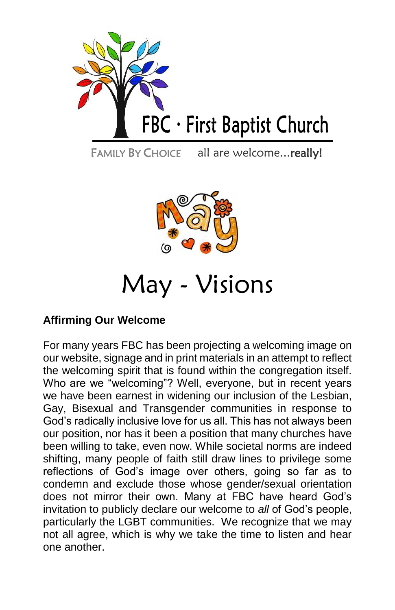

FAMILY BY CHOICE all are welcome...really!



# May - Visions

## **Affirming Our Welcome**

For many years FBC has been projecting a welcoming image on our website, signage and in print materials in an attempt to reflect the welcoming spirit that is found within the congregation itself. Who are we "welcoming"? Well, everyone, but in recent years we have been earnest in widening our inclusion of the Lesbian, Gay, Bisexual and Transgender communities in response to God's radically inclusive love for us all. This has not always been our position, nor has it been a position that many churches have been willing to take, even now. While societal norms are indeed shifting, many people of faith still draw lines to privilege some reflections of God's image over others, going so far as to condemn and exclude those whose gender/sexual orientation does not mirror their own. Many at FBC have heard God's invitation to publicly declare our welcome to *all* of God's people, particularly the LGBT communities. We recognize that we may not all agree, which is why we take the time to listen and hear one another.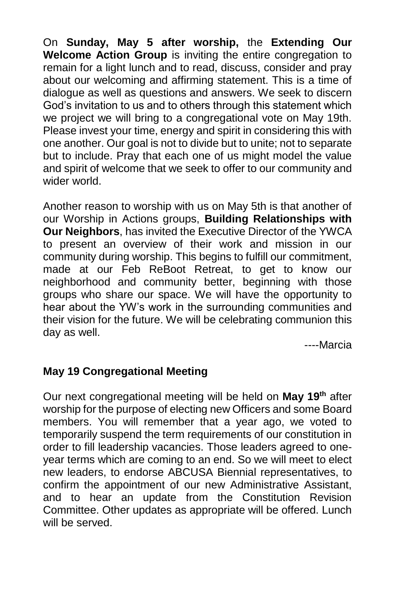On **Sunday, May 5 after worship,** the **Extending Our Welcome Action Group** is inviting the entire congregation to remain for a light lunch and to read, discuss, consider and pray about our welcoming and affirming statement. This is a time of dialogue as well as questions and answers. We seek to discern God's invitation to us and to others through this statement which we project we will bring to a congregational vote on May 19th. Please invest your time, energy and spirit in considering this with one another. Our goal is not to divide but to unite; not to separate but to include. Pray that each one of us might model the value and spirit of welcome that we seek to offer to our community and wider world.

Another reason to worship with us on May 5th is that another of our Worship in Actions groups, **Building Relationships with Our Neighbors**, has invited the Executive Director of the YWCA to present an overview of their work and mission in our community during worship. This begins to fulfill our commitment, made at our Feb ReBoot Retreat, to get to know our neighborhood and community better, beginning with those groups who share our space. We will have the opportunity to hear about the YW's work in the surrounding communities and their vision for the future. We will be celebrating communion this day as well.

----Marcia

## **May 19 Congregational Meeting**

Our next congregational meeting will be held on **May 19th** after worship for the purpose of electing new Officers and some Board members. You will remember that a year ago, we voted to temporarily suspend the term requirements of our constitution in order to fill leadership vacancies. Those leaders agreed to oneyear terms which are coming to an end. So we will meet to elect new leaders, to endorse ABCUSA Biennial representatives, to confirm the appointment of our new Administrative Assistant, and to hear an update from the Constitution Revision Committee. Other updates as appropriate will be offered. Lunch will be served.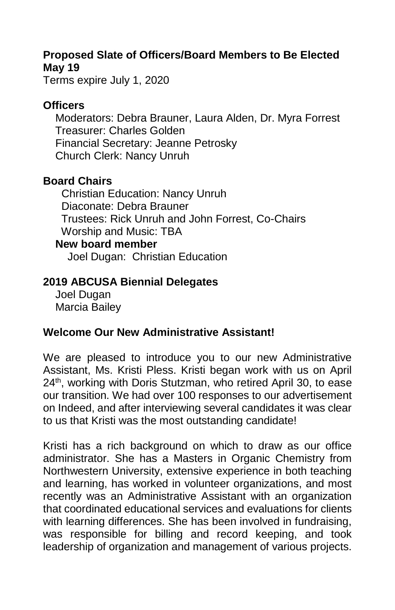## **Proposed Slate of Officers/Board Members to Be Elected May 19**

Terms expire July 1, 2020

### **Officers**

 Moderators: Debra Brauner, Laura Alden, Dr. Myra Forrest Treasurer: Charles Golden Financial Secretary: Jeanne Petrosky Church Clerk: Nancy Unruh

### **Board Chairs**

 Christian Education: Nancy Unruh Diaconate: Debra Brauner Trustees: Rick Unruh and John Forrest, Co-Chairs Worship and Music: TBA **New board member**

Joel Dugan: Christian Education

## **2019 ABCUSA Biennial Delegates**

 Joel Dugan Marcia Bailey

## **Welcome Our New Administrative Assistant!**

We are pleased to introduce you to our new Administrative Assistant, Ms. Kristi Pless. Kristi began work with us on April 24<sup>th</sup>, working with Doris Stutzman, who retired April 30, to ease our transition. We had over 100 responses to our advertisement on Indeed, and after interviewing several candidates it was clear to us that Kristi was the most outstanding candidate!

Kristi has a rich background on which to draw as our office administrator. She has a Masters in Organic Chemistry from Northwestern University, extensive experience in both teaching and learning, has worked in volunteer organizations, and most recently was an Administrative Assistant with an organization that coordinated educational services and evaluations for clients with learning differences. She has been involved in fundraising, was responsible for billing and record keeping, and took leadership of organization and management of various projects.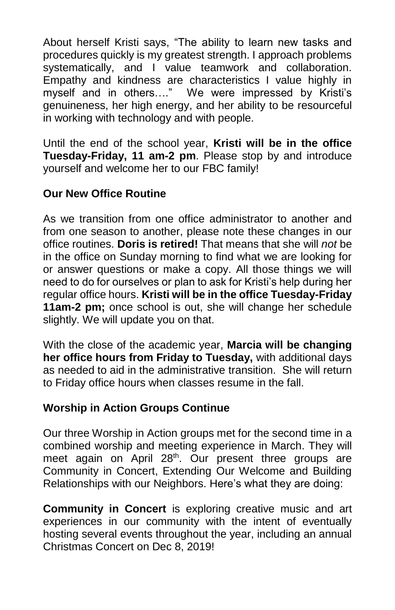About herself Kristi says, "The ability to learn new tasks and procedures quickly is my greatest strength. I approach problems systematically, and I value teamwork and collaboration. Empathy and kindness are characteristics I value highly in myself and in others…." We were impressed by Kristi's genuineness, her high energy, and her ability to be resourceful in working with technology and with people.

Until the end of the school year, **Kristi will be in the office Tuesday-Friday, 11 am-2 pm**. Please stop by and introduce yourself and welcome her to our FBC family!

## **Our New Office Routine**

As we transition from one office administrator to another and from one season to another, please note these changes in our office routines. **Doris is retired!** That means that she will *not* be in the office on Sunday morning to find what we are looking for or answer questions or make a copy. All those things we will need to do for ourselves or plan to ask for Kristi's help during her regular office hours. **Kristi will be in the office Tuesday-Friday 11am-2 pm;** once school is out, she will change her schedule slightly. We will update you on that.

With the close of the academic year, **Marcia will be changing her office hours from Friday to Tuesday,** with additional days as needed to aid in the administrative transition. She will return to Friday office hours when classes resume in the fall.

### **Worship in Action Groups Continue**

Our three Worship in Action groups met for the second time in a combined worship and meeting experience in March. They will meet again on April 28<sup>th</sup>. Our present three groups are Community in Concert, Extending Our Welcome and Building Relationships with our Neighbors. Here's what they are doing:

**Community in Concert** is exploring creative music and art experiences in our community with the intent of eventually hosting several events throughout the year, including an annual Christmas Concert on Dec 8, 2019!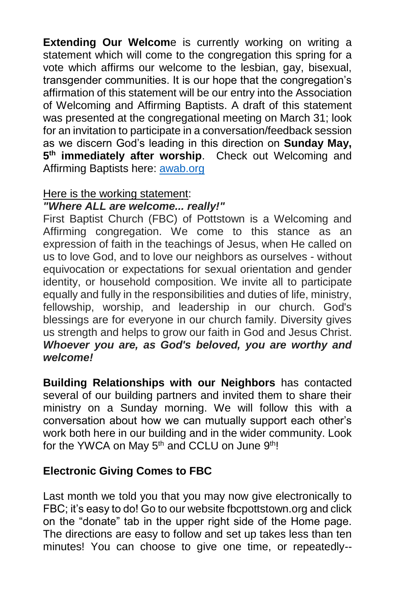**Extending Our Welcome** is currently working on writing a statement which will come to the congregation this spring for a vote which affirms our welcome to the lesbian, gay, bisexual, transgender communities. It is our hope that the congregation's affirmation of this statement will be our entry into the Association of Welcoming and Affirming Baptists. A draft of this statement was presented at the congregational meeting on March 31; look for an invitation to participate in a conversation/feedback session as we discern God's leading in this direction on **Sunday May, 5 th immediately after worship**. Check out Welcoming and Affirming Baptists here: [awab.org](http://awab.org/)

### Here is the working statement:

## *"Where ALL are welcome... really!"*

First Baptist Church (FBC) of Pottstown is a Welcoming and Affirming congregation. We come to this stance as an expression of faith in the teachings of Jesus, when He called on us to love God, and to love our neighbors as ourselves - without equivocation or expectations for sexual orientation and gender identity, or household composition. We invite all to participate equally and fully in the responsibilities and duties of life, ministry, fellowship, worship, and leadership in our church. God's blessings are for everyone in our church family. Diversity gives us strength and helps to grow our faith in God and Jesus Christ. *Whoever you are, as God's beloved, you are worthy and welcome!*

**Building Relationships with our Neighbors** has contacted several of our building partners and invited them to share their ministry on a Sunday morning. We will follow this with a conversation about how we can mutually support each other's work both here in our building and in the wider community. Look for the YWCA on May 5<sup>th</sup> and CCLU on June 9<sup>th</sup>!

### **Electronic Giving Comes to FBC**

Last month we told you that you may now give electronically to FBC; it's easy to do! Go to our website fbcpottstown.org and click on the "donate" tab in the upper right side of the Home page. The directions are easy to follow and set up takes less than ten minutes! You can choose to give one time, or repeatedly--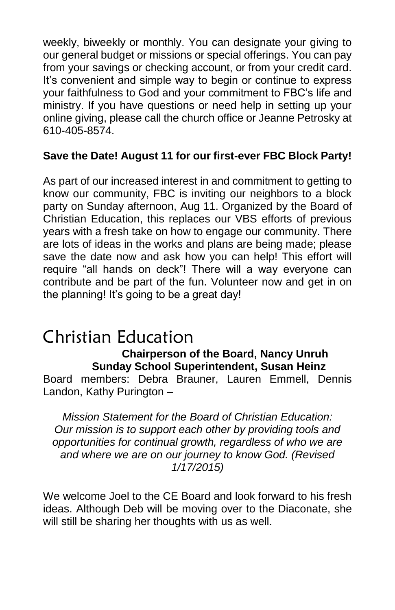weekly, biweekly or monthly. You can designate your giving to our general budget or missions or special offerings. You can pay from your savings or checking account, or from your credit card. It's convenient and simple way to begin or continue to express your faithfulness to God and your commitment to FBC's life and ministry. If you have questions or need help in setting up your online giving, please call the church office or Jeanne Petrosky at 610-405-8574.

## **Save the Date! August 11 for our first-ever FBC Block Party!**

As part of our increased interest in and commitment to getting to know our community, FBC is inviting our neighbors to a block party on Sunday afternoon, Aug 11. Organized by the Board of Christian Education, this replaces our VBS efforts of previous years with a fresh take on how to engage our community. There are lots of ideas in the works and plans are being made; please save the date now and ask how you can help! This effort will require "all hands on deck"! There will a way everyone can contribute and be part of the fun. Volunteer now and get in on the planning! It's going to be a great day!

## Christian Education  **Chairperson of the Board, Nancy Unruh Sunday School Superintendent, Susan Heinz**

Board members: Debra Brauner, Lauren Emmell, Dennis Landon, Kathy Purington –

*Mission Statement for the Board of Christian Education: Our mission is to support each other by providing tools and opportunities for continual growth, regardless of who we are and where we are on our journey to know God. (Revised 1/17/2015)*

We welcome Joel to the CE Board and look forward to his fresh ideas. Although Deb will be moving over to the Diaconate, she will still be sharing her thoughts with us as well.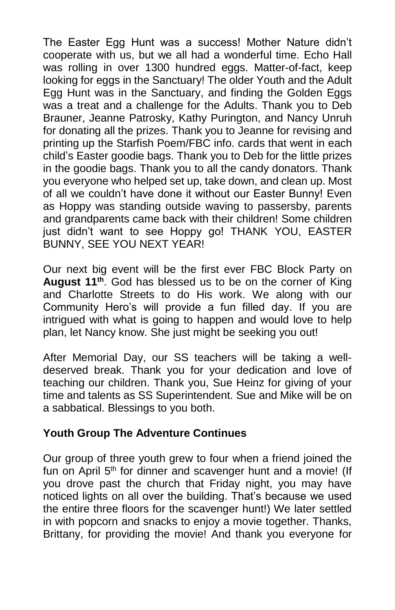The Easter Egg Hunt was a success! Mother Nature didn't cooperate with us, but we all had a wonderful time. Echo Hall was rolling in over 1300 hundred eggs. Matter-of-fact, keep looking for eggs in the Sanctuary! The older Youth and the Adult Egg Hunt was in the Sanctuary, and finding the Golden Eggs was a treat and a challenge for the Adults. Thank you to Deb Brauner, Jeanne Patrosky, Kathy Purington, and Nancy Unruh for donating all the prizes. Thank you to Jeanne for revising and printing up the Starfish Poem/FBC info. cards that went in each child's Easter goodie bags. Thank you to Deb for the little prizes in the goodie bags. Thank you to all the candy donators. Thank you everyone who helped set up, take down, and clean up. Most of all we couldn't have done it without our Easter Bunny! Even as Hoppy was standing outside waving to passersby, parents and grandparents came back with their children! Some children just didn't want to see Hoppy go! THANK YOU, EASTER BUNNY, SEE YOU NEXT YEAR!

Our next big event will be the first ever FBC Block Party on **August 11th** . God has blessed us to be on the corner of King and Charlotte Streets to do His work. We along with our Community Hero's will provide a fun filled day. If you are intrigued with what is going to happen and would love to help plan, let Nancy know. She just might be seeking you out!

After Memorial Day, our SS teachers will be taking a welldeserved break. Thank you for your dedication and love of teaching our children. Thank you, Sue Heinz for giving of your time and talents as SS Superintendent. Sue and Mike will be on a sabbatical. Blessings to you both.

### **Youth Group The Adventure Continues**

Our group of three youth grew to four when a friend joined the fun on April 5<sup>th</sup> for dinner and scavenger hunt and a movie! (If you drove past the church that Friday night, you may have noticed lights on all over the building. That's because we used the entire three floors for the scavenger hunt!) We later settled in with popcorn and snacks to enjoy a movie together. Thanks, Brittany, for providing the movie! And thank you everyone for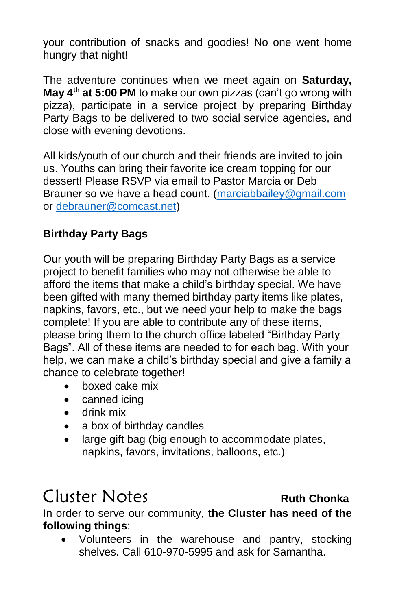your contribution of snacks and goodies! No one went home hungry that night!

The adventure continues when we meet again on **Saturday, May 4th at 5:00 PM** to make our own pizzas (can't go wrong with pizza), participate in a service project by preparing Birthday Party Bags to be delivered to two social service agencies, and close with evening devotions.

All kids/youth of our church and their friends are invited to join us. Youths can bring their favorite ice cream topping for our dessert! Please RSVP via email to Pastor Marcia or Deb Brauner so we have a head count. [\(marciabbailey@gmail.com](mailto:marciabbailey@gmail.com) or [debrauner@comcast.net\)](mailto:debrauner@comcast.net)

## **Birthday Party Bags**

Our youth will be preparing Birthday Party Bags as a service project to benefit families who may not otherwise be able to afford the items that make a child's birthday special. We have been gifted with many themed birthday party items like plates, napkins, favors, etc., but we need your help to make the bags complete! If you are able to contribute any of these items, please bring them to the church office labeled "Birthday Party Bags". All of these items are needed to for each bag. With your help, we can make a child's birthday special and give a family a chance to celebrate together!

- boxed cake mix
- canned icing
- drink mix
- a box of birthday candles
- large gift bag (big enough to accommodate plates, napkins, favors, invitations, balloons, etc.)

## Cluster Notes **Ruth Chonka**

In order to serve our community, **the Cluster has need of the following things**:

• Volunteers in the warehouse and pantry, stocking shelves. Call 610-970-5995 and ask for Samantha.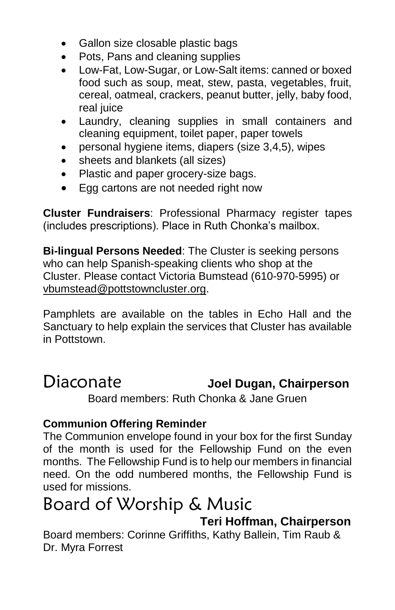- Gallon size closable plastic bags
- Pots, Pans and cleaning supplies
- Low-Fat, Low-Sugar, or Low-Salt items: canned or boxed food such as soup, meat, stew, pasta, vegetables, fruit, cereal, oatmeal, crackers, peanut butter, jelly, baby food, real juice
- Laundry, cleaning supplies in small containers and cleaning equipment, toilet paper, paper towels
- personal hygiene items, diapers (size 3,4,5), wipes
- sheets and blankets (all sizes)
- Plastic and paper grocery-size bags.
- Egg cartons are not needed right now

**Cluster Fundraisers**: Professional Pharmacy register tapes (includes prescriptions). Place in Ruth Chonka's mailbox.

**Bi-lingual Persons Needed**: The Cluster is seeking persons who can help Spanish-speaking clients who shop at the Cluster. Please contact Victoria Bumstead (610-970-5995) or [vbumstead@pottstowncluster.org.](mailto:vbumstead@pottstowncluster.org)

Pamphlets are available on the tables in Echo Hall and the Sanctuary to help explain the services that Cluster has available in Pottstown.

## Diaconate **Joel Dugan, Chairperson** Board members: Ruth Chonka & Jane Gruen

## **Communion Offering Reminder**

The Communion envelope found in your box for the first Sunday of the month is used for the Fellowship Fund on the even months. The Fellowship Fund is to help our members in financial need. On the odd numbered months, the Fellowship Fund is used for missions.

# Board of Worship & Music

 **Teri Hoffman, Chairperson**

Board members: Corinne Griffiths, Kathy Ballein, Tim Raub & Dr. Myra Forrest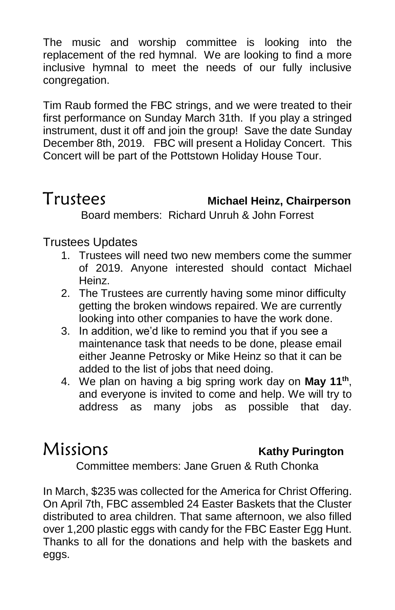The music and worship committee is looking into the replacement of the red hymnal. We are looking to find a more inclusive hymnal to meet the needs of our fully inclusive congregation.

Tim Raub formed the FBC strings, and we were treated to their first performance on Sunday March 31th. If you play a stringed instrument, dust it off and join the group! Save the date Sunday December 8th, 2019. FBC will present a Holiday Concert. This Concert will be part of the Pottstown Holiday House Tour.

## Trustees **Michael Heinz, Chairperson**

Board members: Richard Unruh & John Forrest

## Trustees Updates

- 1. Trustees will need two new members come the summer of 2019. Anyone interested should contact Michael Heinz.
- 2. The Trustees are currently having some minor difficulty getting the broken windows repaired. We are currently looking into other companies to have the work done.
- 3. In addition, we'd like to remind you that if you see a maintenance task that needs to be done, please email either Jeanne Petrosky or Mike Heinz so that it can be added to the list of jobs that need doing.
- 4. We plan on having a big spring work day on May 11<sup>th</sup>, and everyone is invited to come and help. We will try to address as many jobs as possible that day.

## Missions **Kathy Purington**

Committee members: Jane Gruen & Ruth Chonka

In March, \$235 was collected for the America for Christ Offering. On April 7th, FBC assembled 24 Easter Baskets that the Cluster distributed to area children. That same afternoon, we also filled over 1,200 plastic eggs with candy for the FBC Easter Egg Hunt. Thanks to all for the donations and help with the baskets and eggs.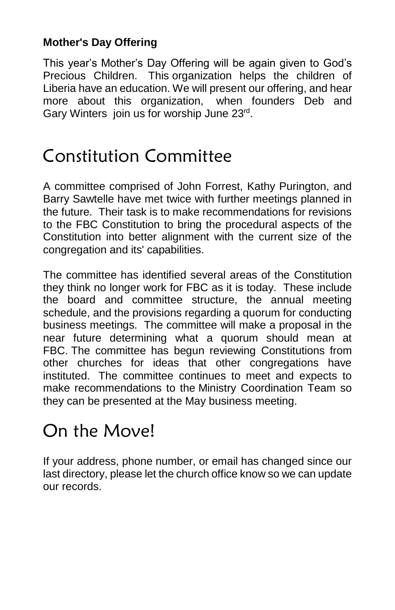## **Mother's Day Offering**

This year's Mother's Day Offering will be again given to God's Precious Children. This organization helps the children of Liberia have an education. We will present our offering, and hear more about this organization, when founders Deb and Gary Winters join us for worship June 23rd.

## Constitution Committee

A committee comprised of John Forrest, Kathy Purington, and Barry Sawtelle have met twice with further meetings planned in the future. Their task is to make recommendations for revisions to the FBC Constitution to bring the procedural aspects of the Constitution into better alignment with the current size of the congregation and its' capabilities.

The committee has identified several areas of the Constitution they think no longer work for FBC as it is today. These include the board and committee structure, the annual meeting schedule, and the provisions regarding a quorum for conducting business meetings. The committee will make a proposal in the near future determining what a quorum should mean at FBC. The committee has begun reviewing Constitutions from other churches for ideas that other congregations have instituted. The committee continues to meet and expects to make recommendations to the Ministry Coordination Team so they can be presented at the May business meeting.

# On the Move!

If your address, phone number, or email has changed since our last directory, please let the church office know so we can update our records.